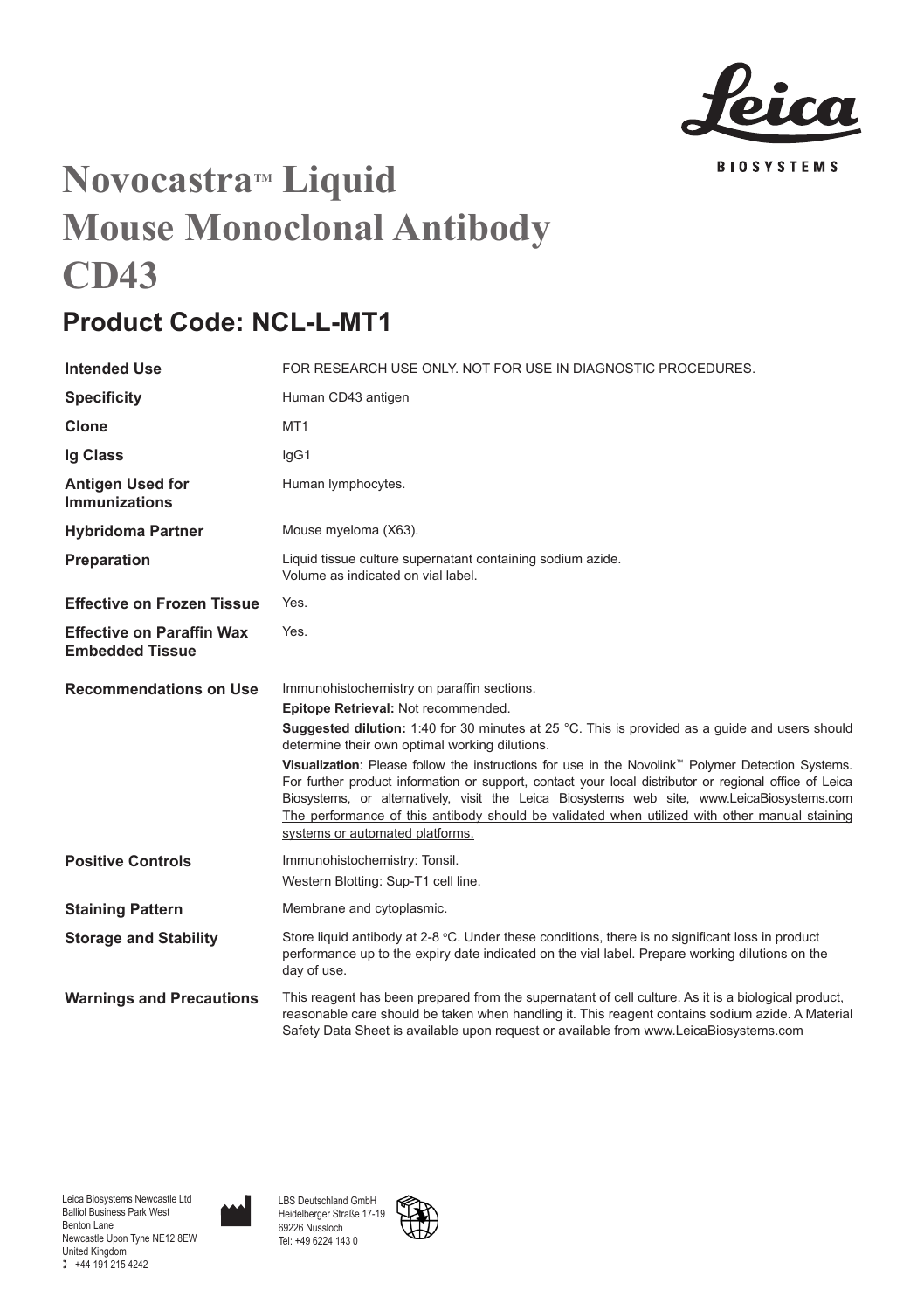

## **Novocastra<sup>M</sup>** Liquid **Mouse Monoclonal Antibody CD43**

## **Product Code: NCL-L-MT1**

| <b>Intended Use</b>                                        | FOR RESEARCH USE ONLY. NOT FOR USE IN DIAGNOSTIC PROCEDURES.                                                                                                                                                                                                                                                                                                                                                                                                                                                                                                                                                                                                                                              |
|------------------------------------------------------------|-----------------------------------------------------------------------------------------------------------------------------------------------------------------------------------------------------------------------------------------------------------------------------------------------------------------------------------------------------------------------------------------------------------------------------------------------------------------------------------------------------------------------------------------------------------------------------------------------------------------------------------------------------------------------------------------------------------|
| <b>Specificity</b>                                         | Human CD43 antigen                                                                                                                                                                                                                                                                                                                                                                                                                                                                                                                                                                                                                                                                                        |
| Clone                                                      | MT <sub>1</sub>                                                                                                                                                                                                                                                                                                                                                                                                                                                                                                                                                                                                                                                                                           |
| Ig Class                                                   | lgG1                                                                                                                                                                                                                                                                                                                                                                                                                                                                                                                                                                                                                                                                                                      |
| <b>Antigen Used for</b><br><b>Immunizations</b>            | Human lymphocytes.                                                                                                                                                                                                                                                                                                                                                                                                                                                                                                                                                                                                                                                                                        |
| <b>Hybridoma Partner</b>                                   | Mouse myeloma (X63).                                                                                                                                                                                                                                                                                                                                                                                                                                                                                                                                                                                                                                                                                      |
| Preparation                                                | Liquid tissue culture supernatant containing sodium azide.<br>Volume as indicated on vial label.                                                                                                                                                                                                                                                                                                                                                                                                                                                                                                                                                                                                          |
| <b>Effective on Frozen Tissue</b>                          | Yes.                                                                                                                                                                                                                                                                                                                                                                                                                                                                                                                                                                                                                                                                                                      |
| <b>Effective on Paraffin Wax</b><br><b>Embedded Tissue</b> | Yes.                                                                                                                                                                                                                                                                                                                                                                                                                                                                                                                                                                                                                                                                                                      |
| <b>Recommendations on Use</b>                              | Immunohistochemistry on paraffin sections.<br>Epitope Retrieval: Not recommended.<br><b>Suggested dilution:</b> 1:40 for 30 minutes at 25 °C. This is provided as a quide and users should<br>determine their own optimal working dilutions.<br>Visualization: Please follow the instructions for use in the Novolink <sup>™</sup> Polymer Detection Systems.<br>For further product information or support, contact your local distributor or regional office of Leica<br>Biosystems, or alternatively, visit the Leica Biosystems web site, www.LeicaBiosystems.com<br>The performance of this antibody should be validated when utilized with other manual staining<br>systems or automated platforms. |
| <b>Positive Controls</b>                                   | Immunohistochemistry: Tonsil.<br>Western Blotting: Sup-T1 cell line.                                                                                                                                                                                                                                                                                                                                                                                                                                                                                                                                                                                                                                      |
| <b>Staining Pattern</b>                                    | Membrane and cytoplasmic.                                                                                                                                                                                                                                                                                                                                                                                                                                                                                                                                                                                                                                                                                 |
| <b>Storage and Stability</b>                               | Store liquid antibody at 2-8 °C. Under these conditions, there is no significant loss in product<br>performance up to the expiry date indicated on the vial label. Prepare working dilutions on the<br>day of use.                                                                                                                                                                                                                                                                                                                                                                                                                                                                                        |
| <b>Warnings and Precautions</b>                            | This reagent has been prepared from the supernatant of cell culture. As it is a biological product,<br>reasonable care should be taken when handling it. This reagent contains sodium azide. A Material<br>Safety Data Sheet is available upon request or available from www.LeicaBiosystems.com                                                                                                                                                                                                                                                                                                                                                                                                          |